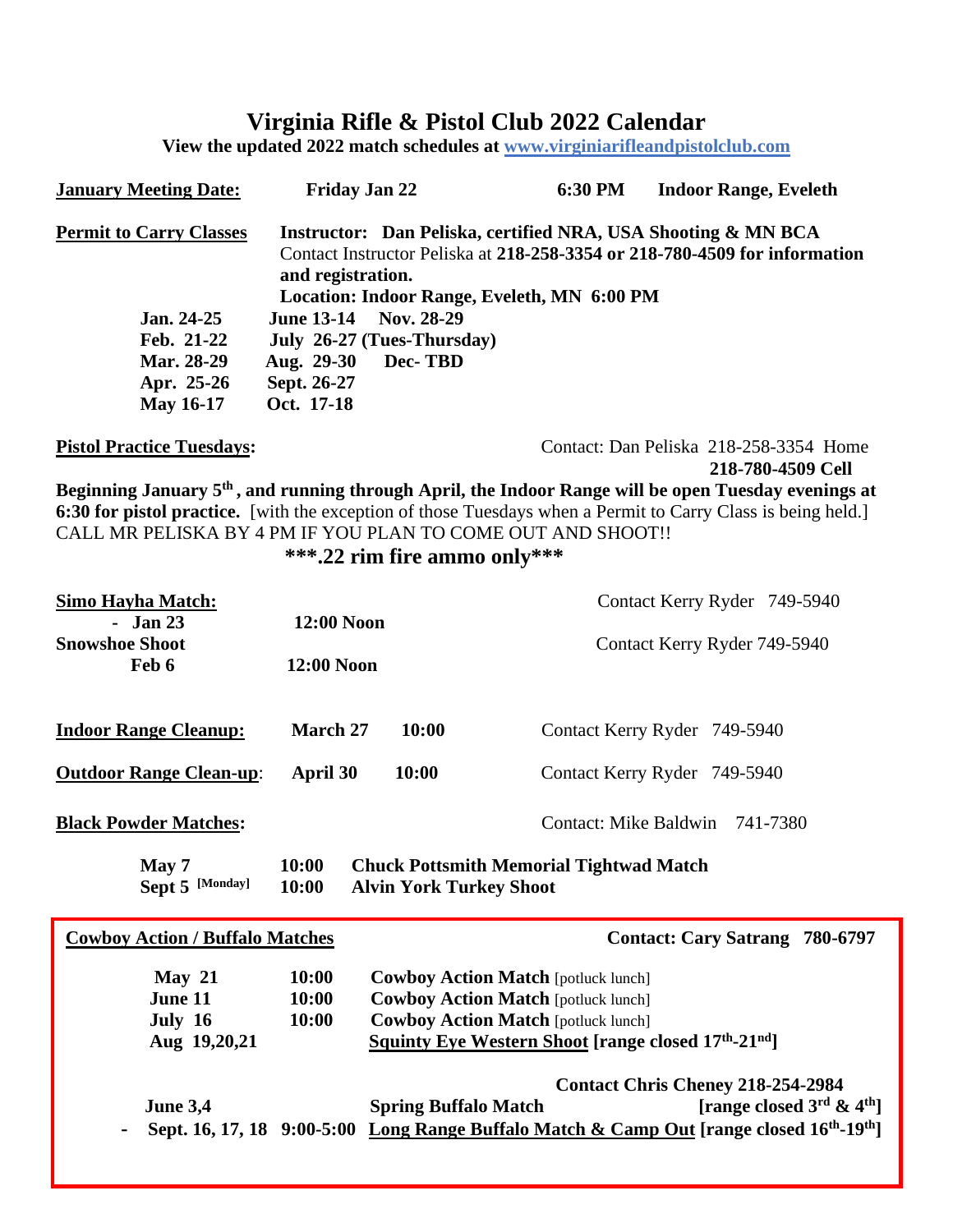# **Virginia Rifle & Pistol Club 2022 Calendar**

**View the updated 2022 match schedules at [www.virginiarifleandp](http://www.virginiarifleand/)istolclub.com**

| <b>January Meeting Date:</b>                                                                               | Friday Jan 22                                                                                                       |                                | 6:30 PM                                                                                                                                                                                      | <b>Indoor Range, Eveleth</b>                                                                                                                                                                                                     |
|------------------------------------------------------------------------------------------------------------|---------------------------------------------------------------------------------------------------------------------|--------------------------------|----------------------------------------------------------------------------------------------------------------------------------------------------------------------------------------------|----------------------------------------------------------------------------------------------------------------------------------------------------------------------------------------------------------------------------------|
| <b>Permit to Carry Classes</b><br>Jan. 24-25<br>Feb. 21-22<br>Mar. 28-29<br>Apr. 25-26<br><b>May 16-17</b> | and registration.<br>June 13-14 Nov. 28-29<br>July 26-27 (Tues-Thursday)<br>Aug. 29-30<br>Sept. 26-27<br>Oct. 17-18 | Dec-TBD                        | Location: Indoor Range, Eveleth, MN 6:00 PM                                                                                                                                                  | Instructor: Dan Peliska, certified NRA, USA Shooting & MN BCA<br>Contact Instructor Peliska at 218-258-3354 or 218-780-4509 for information                                                                                      |
| <b>Pistol Practice Tuesdays:</b>                                                                           |                                                                                                                     |                                |                                                                                                                                                                                              | Contact: Dan Peliska 218-258-3354 Home<br>218-780-4509 Cell                                                                                                                                                                      |
| CALL MR PELISKA BY 4 PM IF YOU PLAN TO COME OUT AND SHOOT!!                                                |                                                                                                                     | ***.22 rim fire ammo only***   |                                                                                                                                                                                              | Beginning January 5 <sup>th</sup> , and running through April, the Indoor Range will be open Tuesday evenings at<br>6:30 for pistol practice. [with the exception of those Tuesdays when a Permit to Carry Class is being held.] |
| <b>Simo Hayha Match:</b>                                                                                   |                                                                                                                     |                                |                                                                                                                                                                                              | Contact Kerry Ryder 749-5940                                                                                                                                                                                                     |
| - Jan $23$<br><b>Snowshoe Shoot</b><br>Feb 6                                                               | 12:00 Noon<br>12:00 Noon                                                                                            |                                |                                                                                                                                                                                              | Contact Kerry Ryder 749-5940                                                                                                                                                                                                     |
| <b>Indoor Range Cleanup:</b>                                                                               | March 27                                                                                                            | 10:00                          |                                                                                                                                                                                              | Contact Kerry Ryder 749-5940                                                                                                                                                                                                     |
| <b>Outdoor Range Clean-up:</b>                                                                             | April 30                                                                                                            | 10:00                          |                                                                                                                                                                                              | Contact Kerry Ryder 749-5940                                                                                                                                                                                                     |
| <b>Black Powder Matches:</b>                                                                               |                                                                                                                     |                                |                                                                                                                                                                                              | Contact: Mike Baldwin 741-7380                                                                                                                                                                                                   |
| May 7<br>Sept 5 [Monday]                                                                                   | 10:00<br>10:00                                                                                                      | <b>Alvin York Turkey Shoot</b> | <b>Chuck Pottsmith Memorial Tightwad Match</b>                                                                                                                                               |                                                                                                                                                                                                                                  |
| <b>Cowboy Action / Buffalo Matches</b>                                                                     |                                                                                                                     |                                |                                                                                                                                                                                              | <b>Contact: Cary Satrang 780-6797</b>                                                                                                                                                                                            |
| May $21$<br>June 11<br>July 16<br>Aug 19,20,21                                                             | 10:00<br>10:00<br>10:00                                                                                             |                                | <b>Cowboy Action Match [potluck lunch]</b><br><b>Cowboy Action Match [potluck lunch]</b><br><b>Cowboy Action Match [potluck lunch]</b><br>Squinty Eye Western Shoot [range closed 17th-21nd] |                                                                                                                                                                                                                                  |
| <b>June 3,4</b>                                                                                            |                                                                                                                     | <b>Spring Buffalo Match</b>    |                                                                                                                                                                                              | <b>Contact Chris Cheney 218-254-2984</b><br>[range closed 3rd & 4 <sup>th</sup> ]                                                                                                                                                |

 **- Sept. 16, 17, 18 9:00-5:00 Long Range Buffalo Match & Camp Out [range closed 16th -19th]**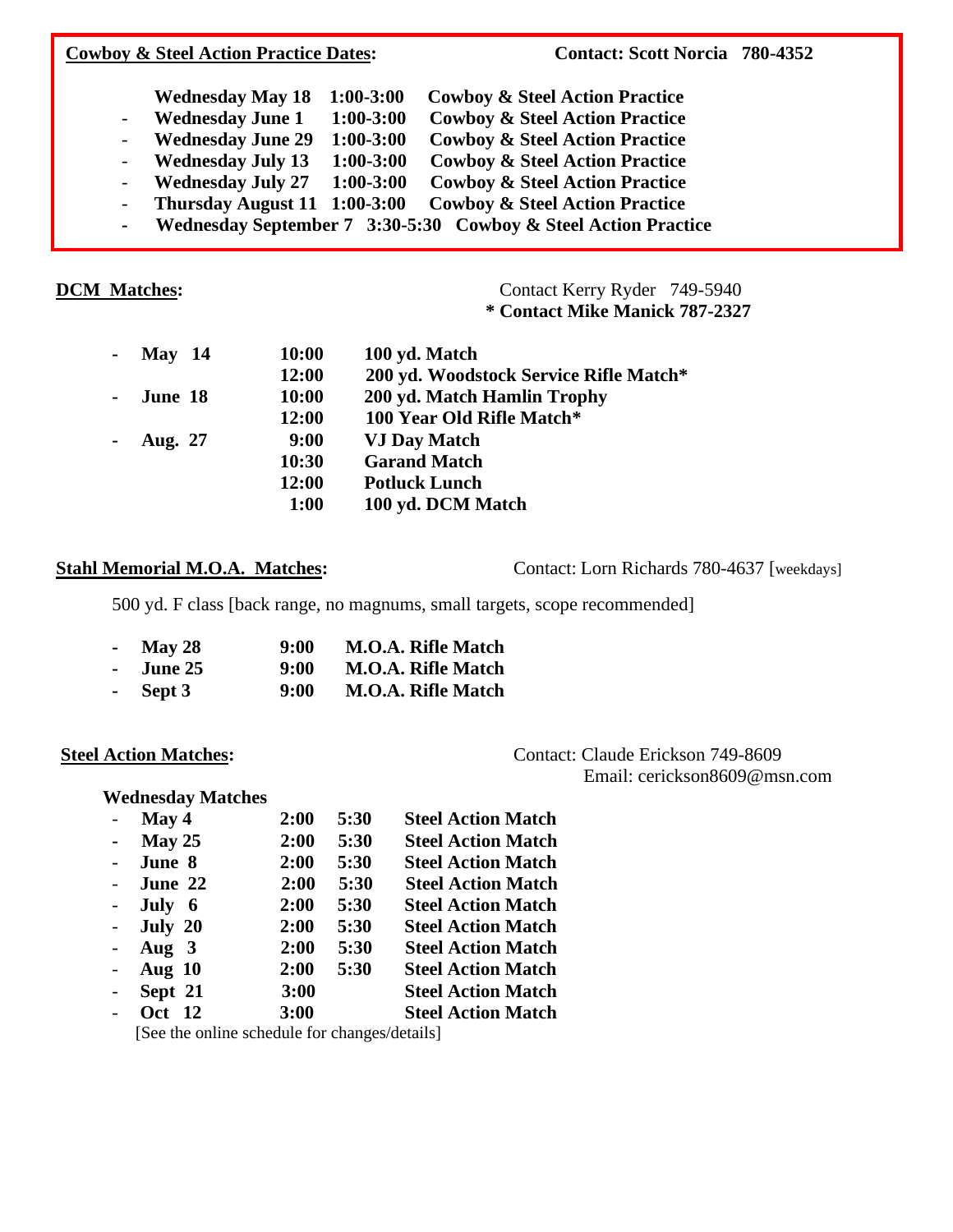## **Cowboy & Steel Action Practice Dates:** Contact: Scott Norcia 780-4352  **Wednesday May 18 1:00-3:00 Cowboy & Steel Action Practice** - **Wednesday June 1 1:00-3:00 Cowboy & Steel Action Practice**

- **Wednesday June 29 1:00-3:00 Cowboy & Steel Action Practice**
- **Wednesday July 13 1:00-3:00 Cowboy & Steel Action Practice**
- **Wednesday July 27 1:00-3:00 Cowboy & Steel Action Practice**
- **Thursday August 11 1:00-3:00 Cowboy & Steel Action Practice**
- **Wednesday September 7 3:30-5:30 Cowboy & Steel Action Practice**

**DCM Matches: Contact Kerry Ryder 749-5940 \* Contact Mike Manick 787-2327**

| - May $14$  | 10:00        | 100 yd. Match                          |
|-------------|--------------|----------------------------------------|
|             | 12:00        | 200 yd. Woodstock Service Rifle Match* |
| - June 18   | <b>10:00</b> | 200 yd. Match Hamlin Trophy            |
|             | 12:00        | 100 Year Old Rifle Match*              |
| - Aug. $27$ | 9:00         | <b>VJ Day Match</b>                    |
|             | 10:30        | <b>Garand Match</b>                    |
|             | 12:00        | <b>Potluck Lunch</b>                   |
|             | 1:00         | 100 yd. DCM Match                      |

Stahl Memorial M.O.A. Matches: Contact: Lorn Richards 780-4637 [weekdays]

500 yd. F class [back range, no magnums, small targets, scope recommended]

| - May 28   | 9:00 | <b>M.O.A. Rifle Match</b> |
|------------|------|---------------------------|
| - June 25  | 9:00 | <b>M.O.A. Rifle Match</b> |
| - Sept $3$ | 9:00 | <b>M.O.A. Rifle Match</b> |

Steel Action Matches: **Contact: Claude Erickson 749-8609** Email: cerickson8609@msn.com

### **Wednesday Matches**

| $\sim$                   | May 4                                                                                                                                        | 2:00 | 5:30 | <b>Steel Action Match</b> |
|--------------------------|----------------------------------------------------------------------------------------------------------------------------------------------|------|------|---------------------------|
| $\sim$                   | May 25                                                                                                                                       | 2:00 | 5:30 | <b>Steel Action Match</b> |
| $\sim$ $-$               | June 8                                                                                                                                       | 2:00 | 5:30 | <b>Steel Action Match</b> |
| $\sim$                   | June 22                                                                                                                                      | 2:00 | 5:30 | <b>Steel Action Match</b> |
|                          | - July $6$                                                                                                                                   | 2:00 | 5:30 | <b>Steel Action Match</b> |
|                          | - July $20$                                                                                                                                  | 2:00 | 5:30 | <b>Steel Action Match</b> |
|                          | - Aug $3$                                                                                                                                    | 2:00 | 5:30 | <b>Steel Action Match</b> |
|                          | - Aug $10$                                                                                                                                   | 2:00 | 5:30 | <b>Steel Action Match</b> |
|                          | - Sept $21$                                                                                                                                  | 3:00 |      | <b>Steel Action Match</b> |
| $\overline{\phantom{0}}$ | <b>Oct</b> 12                                                                                                                                | 3:00 |      | <b>Steel Action Match</b> |
|                          | $\begin{bmatrix} 1 & 1 \\ 1 & 1 \end{bmatrix}$ $\begin{bmatrix} 1 & 1 \\ 1 & 1 \end{bmatrix}$ $\begin{bmatrix} 1 & 1 \\ 1 & 1 \end{bmatrix}$ |      |      |                           |

[See the online schedule for changes/details]